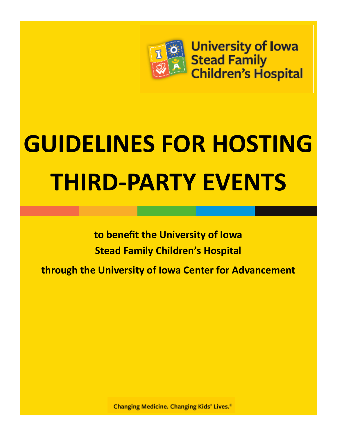

**University of Iowa Stead Family Children's Hospital** 

# **GUIDELINES FOR HOSTING THIRD-PARTY EVENTS**

**to benefit the University of Iowa Stead Family Children's Hospital**

**through the University of Iowa Center for Advancement** 

**Changing Medicine. Changing Kids' Lives.**<sup>®</sup>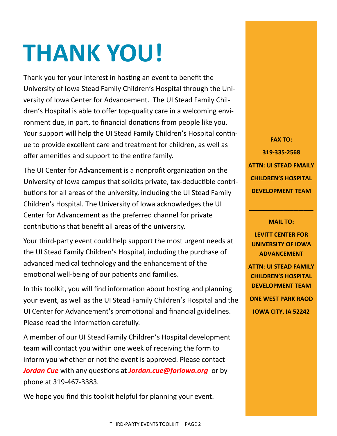# **THANK YOU!**

Thank you for your interest in hosting an event to benefit the University of Iowa Stead Family Children's Hospital through the University of Iowa Center for Advancement. The UI Stead Family Children's Hospital is able to offer top-quality care in a welcoming environment due, in part, to financial donations from people like you. Your support will help the UI Stead Family Children's Hospital continue to provide excellent care and treatment for children, as well as offer amenities and support to the entire family.

The UI Center for Advancement is a nonprofit organization on the University of Iowa campus that solicits private, tax-deductible contributions for all areas of the university, including the UI Stead Family Children's Hospital. The University of Iowa acknowledges the UI Center for Advancement as the preferred channel for private contributions that benefit all areas of the university.

Your third-party event could help support the most urgent needs at the UI Stead Family Children's Hospital, including the purchase of advanced medical technology and the enhancement of the emotional well-being of our patients and families.

In this toolkit, you will find information about hosting and planning your event, as well as the UI Stead Family Children's Hospital and the UI Center for Advancement's promotional and financial guidelines. Please read the information carefully.

A member of our UI Stead Family Children's Hospital development team will contact you within one week of receiving the form to inform you whether or not the event is approved. Please contact *Jordan Cue* with any questions at *Jordan.cue@foriowa.org* or by phone at 319-467-3383.

We hope you find this toolkit helpful for planning your event.

**FAX TO: 319-335-2568 ATTN: UI STEAD FMAILY CHILDREN'S HOSPITAL DEVELOPMENT TEAM**

### **MAIL TO:**

**\_\_\_\_\_\_\_\_\_\_\_\_\_**

**LEVITT CENTER FOR UNIVERSITY OF IOWA ADVANCEMENT**

**ATTN: UI STEAD FAMILY CHILDREN'S HOSPITAL DEVELOPMENT TEAM ONE WEST PARK RAOD IOWA CITY, IA 52242**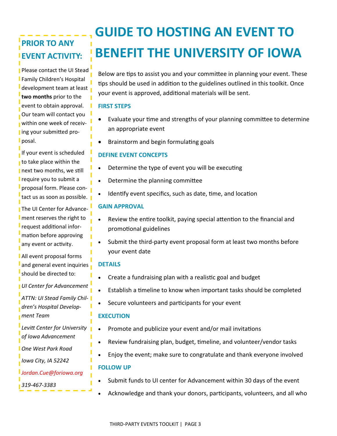# **PRIOR TO ANY EVENT ACTIVITY:**

Please contact the UI Stead Family Children's Hospital development team at least **two months** prior to the event to obtain approval. Our team will contact you within one week of receiving your submitted proposal.

If your event is scheduled to take place within the next two months, we still require you to submit a proposal form. Please contact us as soon as possible.

The UI Center for Advancement reserves the right to request additional information before approving any event or activity.

All event proposal forms and general event inquiries should be directed to:

*UI Center for Advancement*

*ATTN: UI Stead Family Children's Hospital Development Team*

*Levitt Center for University of Iowa Advancement*

*One West Park Road*

*Iowa City, IA 52242*

*Jordan.Cue@foriowa.org* 

*319-467-3383*

# **GUIDE TO HOSTING AN EVENT TO BENEFIT THE UNIVERSITY OF IOWA**

Below are tips to assist you and your committee in planning your event. These tips should be used in addition to the guidelines outlined in this toolkit. Once your event is approved, additional materials will be sent.

## **FIRST STEPS**

- Evaluate your time and strengths of your planning committee to determine an appropriate event
- Brainstorm and begin formulating goals

## **DEFINE EVENT CONCEPTS**

- Determine the type of event you will be executing
- Determine the planning committee
- Identify event specifics, such as date, time, and location

# **GAIN APPROVAL**

- Review the entire toolkit, paying special attention to the financial and promotional guidelines
- Submit the third-party event proposal form at least two months before your event date

## **DETAILS**

- Create a fundraising plan with a realistic goal and budget
- Establish a timeline to know when important tasks should be completed
- Secure volunteers and participants for your event

## **EXECUTION**

- Promote and publicize your event and/or mail invitations
- Review fundraising plan, budget, timeline, and volunteer/vendor tasks
- Enjoy the event; make sure to congratulate and thank everyone involved

## **FOLLOW UP**

- Submit funds to UI center for Advancement within 30 days of the event
- Acknowledge and thank your donors, participants, volunteers, and all who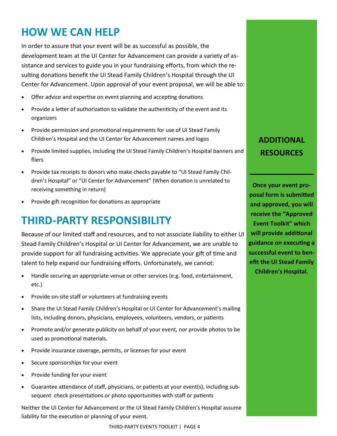# **HOW WE CAN HELP**

In order to assure that your event will be as successful as possible, the development team at the UI Center for Advancement can provide a variety of assistance and services to guide you in your fundraising efforts, from which the resulting donations benefit the UI Stead Family Children's Hospital through the UI Center for Advancement. Upon approval of your event proposal, we will be able to:

- Offer advice and expertise on event planning and accepting donations
- Provide a letter of authorization to validate the authenticity of the event and its organizers
- Provide permission and promotional requirements for use of UI Stead Family Children's Hospital and the UI Center for Advancement names and logos
- Provide limited supplies, including the UI Stead Family Children's Hospital banners and fliers
- Provide tax receipts to donors who make checks payable to "UI Stead Family Children's Hospital" or "UI Center for Advancement" (When donation is unrelated to receiving something in return)
- Provide gift recognition for donations as appropriate

# **THIRD-PARTY RESPONSIBILITY**

Because of our limited staff and resources, and to not associate liability to either UI Stead Family Children's Hospital or UI Center for Advancement, we are unable to provide support for all fundraising activities. We appreciate your gift of time and talent to help expand our fundraising efforts. Unfortunately, we cannot:

- Handle securing an appropriate venue or other services (e.g. food, entertainment, etc.)
- Provide on-site staff or volunteers at fundraising events
- Share the UI Stead Family Children's Hospital or UI Center for Advancement's mailing lists, including donors, physicians, employees, volunteers, vendors, or patients
- Promote and/or generate publicity on behalf of your event, nor provide photos to be used as promotional materials.
- Provide insurance coverage, permits, or licenses for your event
- Secure sponsorships for your event
- Provide funding for your event
- Guarantee attendance of staff, physicians, or patients at your event(s), including subsequent check presentations or photo opportunities with staff or patients

Neither the UI Center for Advancement or the UI Stead Family Children's Hospital assume liability for the execution or planning of your event.

# **ADDITIONAL RESOURCES**

**\_\_\_\_\_\_\_\_\_\_\_\_\_**

**Once your event proposal form is submitted and approved, you will receive the "Approved Event Toolkit" which will provide additional guidance on executing a successful event to benefit the UI Stead Family Children's Hospital.**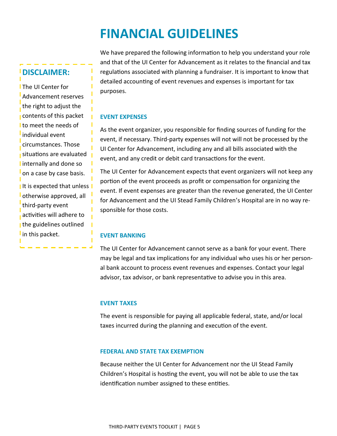# **FINANCIAL GUIDELINES**

# **DISCLAIMER:**

**I** The UI Center for Advancement reserves the right to adjust the contents of this packet to meet the needs of individual event circumstances. Those situations are evaluated I internally and done so on a case by case basis. It is expected that unless I otherwise approved, all third-party event activities will adhere to the guidelines outlined I in this packet.

We have prepared the following information to help you understand your role and that of the UI Center for Advancement as it relates to the financial and tax regulations associated with planning a fundraiser. It is important to know that detailed accounting of event revenues and expenses is important for tax purposes.

# **EVENT EXPENSES**

п

As the event organizer, you responsible for finding sources of funding for the event, if necessary. Third-party expenses will not will not be processed by the UI Center for Advancement, including any and all bills associated with the event, and any credit or debit card transactions for the event.

The UI Center for Advancement expects that event organizers will not keep any portion of the event proceeds as profit or compensation for organizing the event. If event expenses are greater than the revenue generated, the UI Center for Advancement and the UI Stead Family Children's Hospital are in no way responsible for those costs.

# **EVENT BANKING**

The UI Center for Advancement cannot serve as a bank for your event. There may be legal and tax implications for any individual who uses his or her personal bank account to process event revenues and expenses. Contact your legal advisor, tax advisor, or bank representative to advise you in this area.

## **EVENT TAXES**

The event is responsible for paying all applicable federal, state, and/or local taxes incurred during the planning and execution of the event.

## **FEDERAL AND STATE TAX EXEMPTION**

Because neither the UI Center for Advancement nor the UI Stead Family Children's Hospital is hosting the event, you will not be able to use the tax identification number assigned to these entities.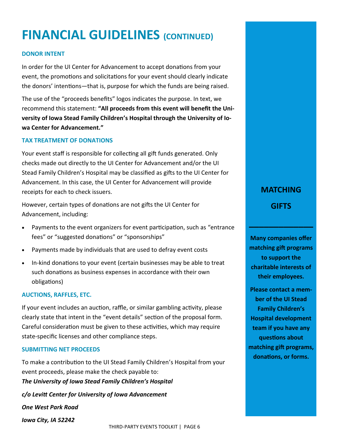# **FINANCIAL GUIDELINES (CONTINUED)**

## **DONOR INTENT**

In order for the UI Center for Advancement to accept donations from your event, the promotions and solicitations for your event should clearly indicate the donors' intentions—that is, purpose for which the funds are being raised.

The use of the "proceeds benefits" logos indicates the purpose. In text, we recommend this statement: **"All proceeds from this event will benefit the University of Iowa Stead Family Children's Hospital through the University of Iowa Center for Advancement."**

## **TAX TREATMENT OF DONATIONS**

Your event staff is responsible for collecting all gift funds generated. Only checks made out directly to the UI Center for Advancement and/or the UI Stead Family Children's Hospital may be classified as gifts to the UI Center for Advancement. In this case, the UI Center for Advancement will provide receipts for each to check issuers.

However, certain types of donations are not gifts the UI Center for Advancement, including:

- Payments to the event organizers for event participation, such as "entrance fees" or "suggested donations" or "sponsorships"
- Payments made by individuals that are used to defray event costs
- In-kind donations to your event (certain businesses may be able to treat such donations as business expenses in accordance with their own obligations)

#### **AUCTIONS, RAFFLES, ETC.**

If your event includes an auction, raffle, or similar gambling activity, please clearly state that intent in the "event details" section of the proposal form. Careful consideration must be given to these activities, which may require state-specific licenses and other compliance steps.

### **SUBMITTING NET PROCEEDS**

To make a contribution to the UI Stead Family Children's Hospital from your event proceeds, please make the check payable to: *The University of Iowa Stead Family Children's Hospital c/o Levitt Center for University of Iowa Advancement*

*One West Park Road*

*Iowa City, IA 52242* 

**MATCHING GIFTS**

**\_\_\_\_\_\_\_\_\_\_\_\_\_**

**Many companies offer matching gift programs to support the charitable interests of their employees.** 

**Please contact a member of the UI Stead Family Children's Hospital development team if you have any questions about matching gift programs, donations, or forms.**